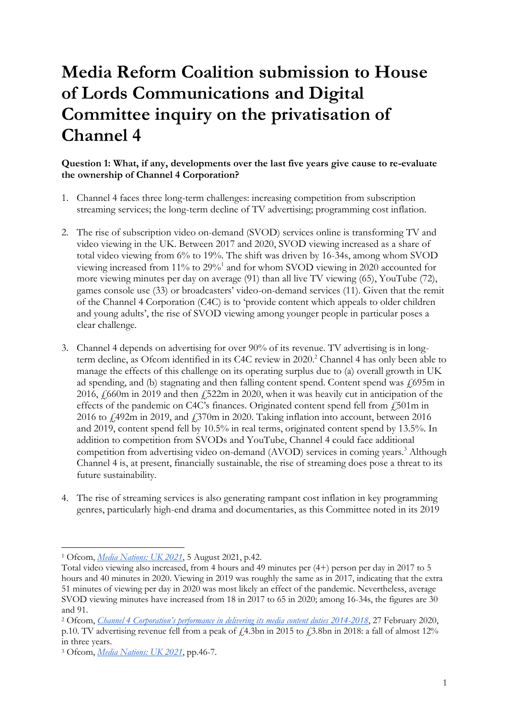# **Media Reform Coalition submission to House of Lords Communications and Digital Committee inquiry on the privatisation of Channel 4**

### **Question 1: What, if any, developments over the last five years give cause to re-evaluate the ownership of Channel 4 Corporation?**

- 1. Channel 4 faces three long-term challenges: increasing competition from subscription streaming services; the long-term decline of TV advertising; programming cost inflation.
- 2. The rise of subscription video on-demand (SVOD) services online is transforming TV and video viewing in the UK. Between 2017 and 2020, SVOD viewing increased as a share of total video viewing from 6% to 19%. The shift was driven by 16-34s, among whom SVOD viewing increased from 11% to 29%<sup>1</sup> and for whom SVOD viewing in 2020 accounted for more viewing minutes per day on average (91) than all live TV viewing (65), YouTube (72), games console use (33) or broadcasters' video-on-demand services (11). Given that the remit of the Channel 4 Corporation (C4C) is to 'provide content which appeals to older children and young adults', the rise of SVOD viewing among younger people in particular poses a clear challenge.
- 3. Channel 4 depends on advertising for over 90% of its revenue. TV advertising is in longterm decline, as Ofcom identified in its C4C review in 2020.<sup>2</sup> Channel 4 has only been able to manage the effects of this challenge on its operating surplus due to (a) overall growth in UK ad spending, and (b) stagnating and then falling content spend. Content spend was  $\ell$ 695m in 2016, £660m in 2019 and then £522m in 2020, when it was heavily cut in anticipation of the effects of the pandemic on C4C's finances. Originated content spend fell from  $\frac{1}{2}$ 501m in 2016 to  $\angle$  492m in 2019, and  $\angle$  370m in 2020. Taking inflation into account, between 2016 and 2019, content spend fell by 10.5% in real terms, originated content spend by 13.5%. In addition to competition from SVODs and YouTube, Channel 4 could face additional competition from advertising video on-demand (AVOD) services in coming years.<sup>3</sup> Although Channel 4 is, at present, financially sustainable, the rise of streaming does pose a threat to its future sustainability.
- 4. The rise of streaming services is also generating rampant cost inflation in key programming genres, particularly high-end drama and documentaries, as this Committee noted in its 2019

<sup>1</sup> Ofcom, *[Media Nations: UK 2021](https://www.ofcom.org.uk/__data/assets/pdf_file/0023/222890/media-nations-report-2021.pdf)*, 5 August 2021, p.42.

Total video viewing also increased, from 4 hours and 49 minutes per (4+) person per day in 2017 to 5 hours and 40 minutes in 2020. Viewing in 2019 was roughly the same as in 2017, indicating that the extra 51 minutes of viewing per day in 2020 was most likely an effect of the pandemic. Nevertheless, average SVOD viewing minutes have increased from 18 in 2017 to 65 in 2020; among 16-34s, the figures are 30 and 91.

<sup>2</sup> Ofcom, *[Channel 4 Corporation's performance in delivering its media content duties 2014](https://www.ofcom.org.uk/__data/assets/pdf_file/0030/192099/channel-4-review-2014-18.pdf)-2018*, 27 February 2020, p.10. TV advertising revenue fell from a peak of  $\mu$ <sub>4</sub>.3bn in 2015 to  $\mu$ <sub>3</sub>.8bn in 2018: a fall of almost 12% in three years.

<sup>3</sup> Ofcom, *[Media Nations: UK 2021](https://www.ofcom.org.uk/__data/assets/pdf_file/0023/222890/media-nations-report-2021.pdf)*, pp.46-7.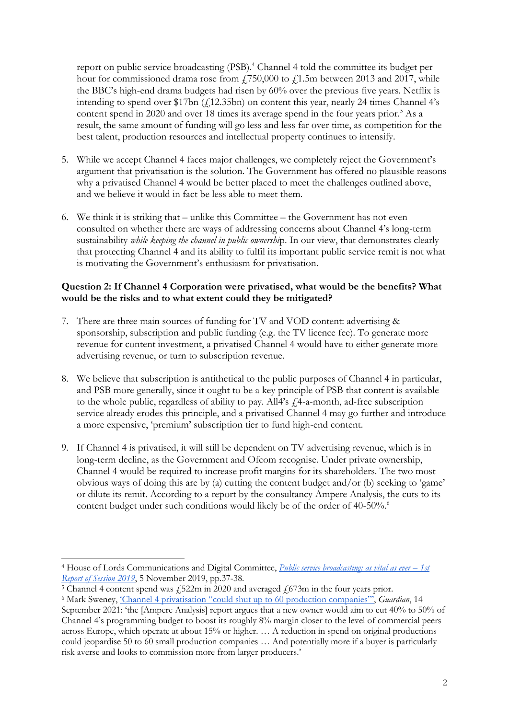report on public service broadcasting (PSB).<sup>4</sup> Channel 4 told the committee its budget per hour for commissioned drama rose from  $f$ 750,000 to  $f$ 1.5m between 2013 and 2017, while the BBC's high-end drama budgets had risen by 60% over the previous five years. Netflix is intending to spend over \$17bn  $(f12.35bn)$  on content this year, nearly 24 times Channel 4's content spend in 2020 and over 18 times its average spend in the four years prior.<sup>5</sup> As a result, the same amount of funding will go less and less far over time, as competition for the best talent, production resources and intellectual property continues to intensify.

- 5. While we accept Channel 4 faces major challenges, we completely reject the Government's argument that privatisation is the solution. The Government has offered no plausible reasons why a privatised Channel 4 would be better placed to meet the challenges outlined above, and we believe it would in fact be less able to meet them.
- 6. We think it is striking that unlike this Committee the Government has not even consulted on whether there are ways of addressing concerns about Channel 4's long-term sustainability *while keeping the channel in public ownershi*p. In our view, that demonstrates clearly that protecting Channel 4 and its ability to fulfil its important public service remit is not what is motivating the Government's enthusiasm for privatisation.

### **Question 2: If Channel 4 Corporation were privatised, what would be the benefits? What would be the risks and to what extent could they be mitigated?**

- 7. There are three main sources of funding for TV and VOD content: advertising & sponsorship, subscription and public funding (e.g. the TV licence fee). To generate more revenue for content investment, a privatised Channel 4 would have to either generate more advertising revenue, or turn to subscription revenue.
- 8. We believe that subscription is antithetical to the public purposes of Channel 4 in particular, and PSB more generally, since it ought to be a key principle of PSB that content is available to the whole public, regardless of ability to pay. All4's  $f$ 4-a-month, ad-free subscription service already erodes this principle, and a privatised Channel 4 may go further and introduce a more expensive, 'premium' subscription tier to fund high-end content.
- 9. If Channel 4 is privatised, it will still be dependent on TV advertising revenue, which is in long-term decline, as the Government and Ofcom recognise. Under private ownership, Channel 4 would be required to increase profit margins for its shareholders. The two most obvious ways of doing this are by (a) cutting the content budget and/or (b) seeking to 'game' or dilute its remit. According to a report by the consultancy Ampere Analysis, the cuts to its content budget under such conditions would likely be of the order of 40-50%.<sup>6</sup>

<sup>4</sup> House of Lords Communications and Digital Committee, *[Public service broadcasting: as vital as ever](https://publications.parliament.uk/pa/ld201919/ldselect/ldcomuni/16/16.pdf) – 1st [Report of Session 2019](https://publications.parliament.uk/pa/ld201919/ldselect/ldcomuni/16/16.pdf)*, 5 November 2019, pp.37-38.

 $5$  Channel 4 content spend was  $\frac{2522m}{m}$  in 2020 and averaged  $\frac{1}{673m}$  in the four years prior.

<sup>6</sup> Mark Sweney, ['Channel 4 privatisation "](https://www.theguardian.com/media/2021/sep/14/channel-4-privatisation-60-production-companies-indie-producers)could shut up to 60 production companies"', *Guardian*, 14

September 2021: 'the [Ampere Analysis] report argues that a new owner would aim to cut 40% to 50% of Channel 4's programming budget to boost its roughly 8% margin closer to the level of commercial peers across Europe, which operate at about 15% or higher. … A reduction in spend on original productions could jeopardise 50 to 60 small production companies … And potentially more if a buyer is particularly risk averse and looks to commission more from larger producers.'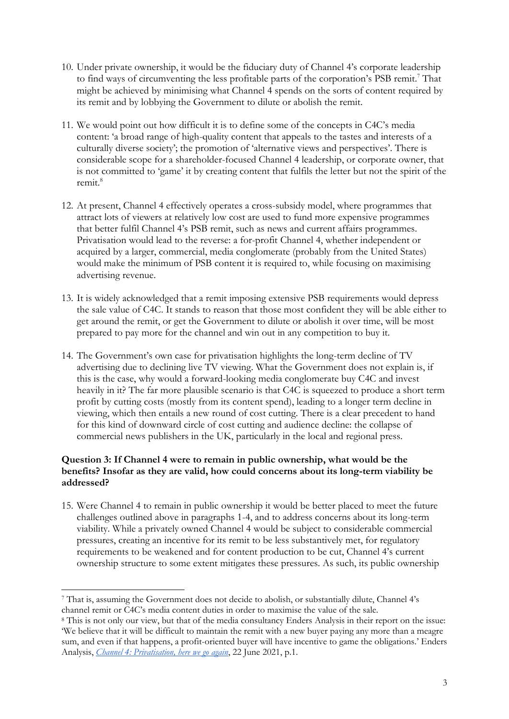- 10. Under private ownership, it would be the fiduciary duty of Channel 4's corporate leadership to find ways of circumventing the less profitable parts of the corporation's PSB remit.<sup>7</sup> That might be achieved by minimising what Channel 4 spends on the sorts of content required by its remit and by lobbying the Government to dilute or abolish the remit.
- 11. We would point out how difficult it is to define some of the concepts in C4C's media content: 'a broad range of high-quality content that appeals to the tastes and interests of a culturally diverse society'; the promotion of 'alternative views and perspectives'. There is considerable scope for a shareholder-focused Channel 4 leadership, or corporate owner, that is not committed to 'game' it by creating content that fulfils the letter but not the spirit of the remit.<sup>8</sup>
- 12. At present, Channel 4 effectively operates a cross-subsidy model, where programmes that attract lots of viewers at relatively low cost are used to fund more expensive programmes that better fulfil Channel 4's PSB remit, such as news and current affairs programmes. Privatisation would lead to the reverse: a for-profit Channel 4, whether independent or acquired by a larger, commercial, media conglomerate (probably from the United States) would make the minimum of PSB content it is required to, while focusing on maximising advertising revenue.
- 13. It is widely acknowledged that a remit imposing extensive PSB requirements would depress the sale value of C4C. It stands to reason that those most confident they will be able either to get around the remit, or get the Government to dilute or abolish it over time, will be most prepared to pay more for the channel and win out in any competition to buy it.
- 14. The Government's own case for privatisation highlights the long-term decline of TV advertising due to declining live TV viewing. What the Government does not explain is, if this is the case, why would a forward-looking media conglomerate buy C4C and invest heavily in it? The far more plausible scenario is that C4C is squeezed to produce a short term profit by cutting costs (mostly from its content spend), leading to a longer term decline in viewing, which then entails a new round of cost cutting. There is a clear precedent to hand for this kind of downward circle of cost cutting and audience decline: the collapse of commercial news publishers in the UK, particularly in the local and regional press.

### **Question 3: If Channel 4 were to remain in public ownership, what would be the benefits? Insofar as they are valid, how could concerns about its long-term viability be addressed?**

15. Were Channel 4 to remain in public ownership it would be better placed to meet the future challenges outlined above in paragraphs 1-4, and to address concerns about its long-term viability. While a privately owned Channel 4 would be subject to considerable commercial pressures, creating an incentive for its remit to be less substantively met, for regulatory requirements to be weakened and for content production to be cut, Channel 4's current ownership structure to some extent mitigates these pressures. As such, its public ownership

<sup>7</sup> That is, assuming the Government does not decide to abolish, or substantially dilute, Channel 4's channel remit or C4C's media content duties in order to maximise the value of the sale.

<sup>8</sup> This is not only our view, but that of the media consultancy Enders Analysis in their report on the issue: 'We believe that it will be difficult to maintain the remit with a new buyer paying any more than a meagre sum, and even if that happens, a profit-oriented buyer will have incentive to game the obligations.' Enders Analysis, *[Channel 4: Privatisation, here we go again](https://www.endersanalysis.com/reports/channel-4-privatisation-here-we-go-again)*, 22 June 2021, p.1.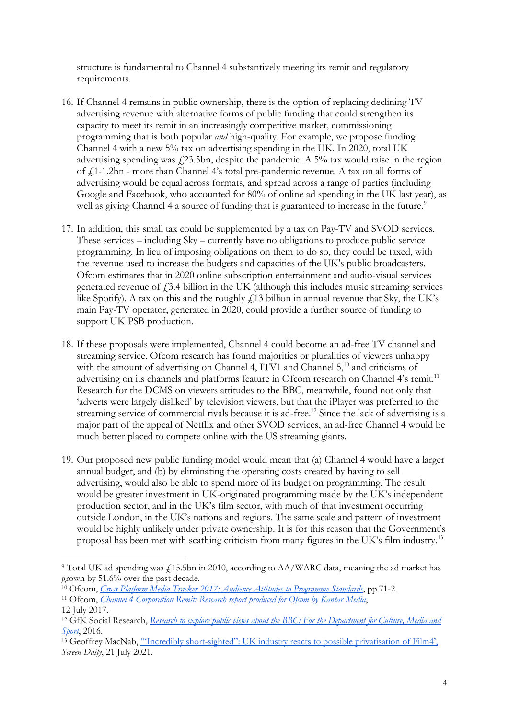structure is fundamental to Channel 4 substantively meeting its remit and regulatory requirements.

- 16. If Channel 4 remains in public ownership, there is the option of replacing declining TV advertising revenue with alternative forms of public funding that could strengthen its capacity to meet its remit in an increasingly competitive market, commissioning programming that is both popular *and* high-quality. For example, we propose funding Channel 4 with a new 5% tax on advertising spending in the UK. In 2020, total UK advertising spending was  $\ell$ 23.5bn, despite the pandemic. A 5% tax would raise in the region of £1-1.2bn - more than Channel 4's total pre-pandemic revenue. A tax on all forms of advertising would be equal across formats, and spread across a range of parties (including Google and Facebook, who accounted for 80% of online ad spending in the UK last year), as well as giving Channel 4 a source of funding that is guaranteed to increase in the future.<sup>9</sup>
- 17. In addition, this small tax could be supplemented by a tax on Pay-TV and SVOD services. These services – including Sky – currently have no obligations to produce public service programming. In lieu of imposing obligations on them to do so, they could be taxed, with the revenue used to increase the budgets and capacities of the UK's public broadcasters. Ofcom estimates that in 2020 online subscription entertainment and audio-visual services generated revenue of  $f(3.4)$  billion in the UK (although this includes music streaming services like Spotify). A tax on this and the roughly  $f13$  billion in annual revenue that Sky, the UK's main Pay-TV operator, generated in 2020, could provide a further source of funding to support UK PSB production.
- 18. If these proposals were implemented, Channel 4 could become an ad-free TV channel and streaming service. Ofcom research has found majorities or pluralities of viewers unhappy with the amount of advertising on Channel 4, ITV1 and Channel 5,<sup>10</sup> and criticisms of advertising on its channels and platforms feature in Ofcom research on Channel 4's remit.<sup>11</sup> Research for the DCMS on viewers attitudes to the BBC, meanwhile, found not only that 'adverts were largely disliked' by television viewers, but that the iPlayer was preferred to the streaming service of commercial rivals because it is ad-free.<sup>12</sup> Since the lack of advertising is a major part of the appeal of Netflix and other SVOD services, an ad-free Channel 4 would be much better placed to compete online with the US streaming giants.
- 19. Our proposed new public funding model would mean that (a) Channel 4 would have a larger annual budget, and (b) by eliminating the operating costs created by having to sell advertising, would also be able to spend more of its budget on programming. The result would be greater investment in UK-originated programming made by the UK's independent production sector, and in the UK's film sector, with much of that investment occurring outside London, in the UK's nations and regions. The same scale and pattern of investment would be highly unlikely under private ownership. It is for this reason that the Government's proposal has been met with scathing criticism from many figures in the UK's film industry.<sup>13</sup>

<sup>&</sup>lt;sup>9</sup> Total UK ad spending was £15.5bn in 2010, according to AA/WARC data, meaning the ad market has grown by 51.6% over the past decade.

<sup>10</sup> Ofcom, *[Cross Platform Media Tracker 2017: Audience Attitudes to Programme Standards](https://www.ofcom.org.uk/__data/assets/pdf_file/0020/116084/Cross-platform-media-tracker-2017-audience-attitudes-to-programme-standards.pdf)*, pp.71-2.

<sup>11</sup> Ofcom, *[Channel 4 Corporation Remit: Research report produced for Ofcom by Kantar Media](https://www.ofcom.org.uk/__data/assets/pdf_file/0018/104094/Channel-4-Corporation-Remit-Research-Report-2017.pdf)*, 12 July 2017.

<sup>12</sup> GfK Social Research, *Research to explore public views [about the BBC: For the Department for Culture, Media and](https://assets.publishing.service.gov.uk/government/uploads/system/uploads/attachment_data/file/522509/Research_to_explore_public_views_about_the_BBC.pdf)  [Sport](https://assets.publishing.service.gov.uk/government/uploads/system/uploads/attachment_data/file/522509/Research_to_explore_public_views_about_the_BBC.pdf)*, 2016.

<sup>&</sup>lt;sup>13</sup> Geoffrey MacNab, "Incredibly short-sighted": UK industry reacts to possible privatisation of Film4', *Screen Daily*, 21 July 2021.